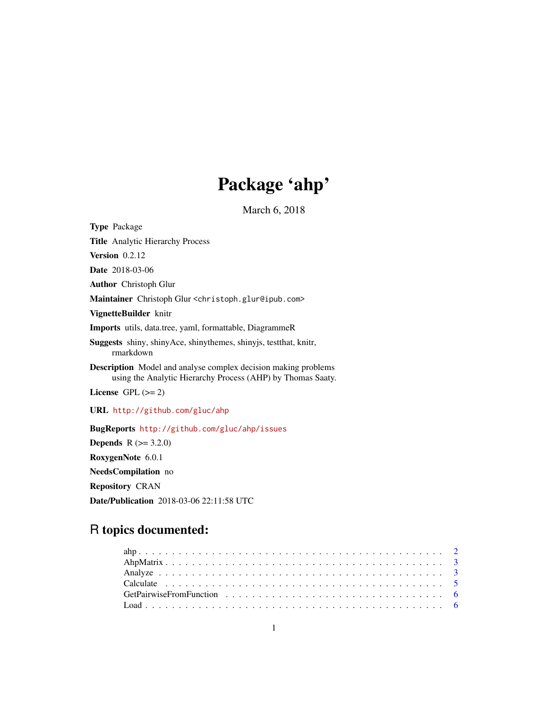# Package 'ahp'

March 6, 2018

<span id="page-0-0"></span>Type Package Title Analytic Hierarchy Process **Version** 0.2.12 Date 2018-03-06 Author Christoph Glur Maintainer Christoph Glur <christoph.glur@ipub.com> VignetteBuilder knitr Imports utils, data.tree, yaml, formattable, DiagrammeR Suggests shiny, shinyAce, shinythemes, shinyjs, testthat, knitr, rmarkdown Description Model and analyse complex decision making problems using the Analytic Hierarchy Process (AHP) by Thomas Saaty. License GPL  $(>= 2)$ URL <http://github.com/gluc/ahp> BugReports <http://github.com/gluc/ahp/issues> **Depends**  $R (= 3.2.0)$ RoxygenNote 6.0.1 NeedsCompilation no Repository CRAN

# R topics documented:

Date/Publication 2018-03-06 22:11:58 UTC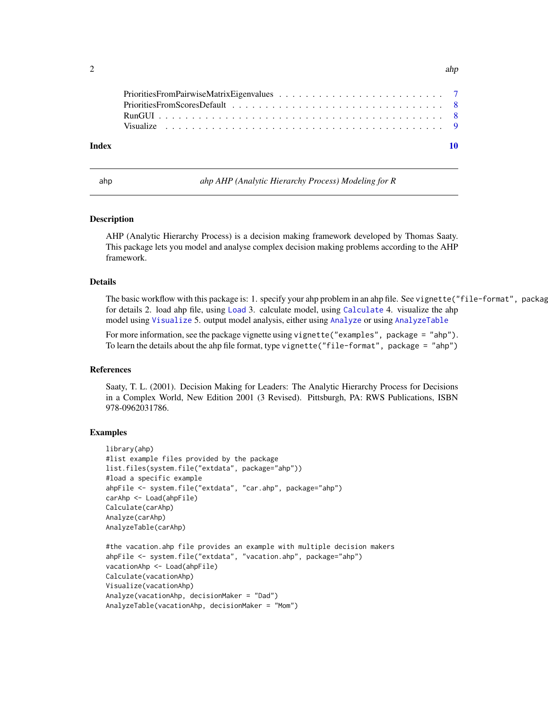<span id="page-1-0"></span>

| Index |  |
|-------|--|

ahp *ahp AHP (Analytic Hierarchy Process) Modeling for R*

#### Description

AHP (Analytic Hierarchy Process) is a decision making framework developed by Thomas Saaty. This package lets you model and analyse complex decision making problems according to the AHP framework.

# Details

The basic workflow with this package is: 1. specify your ahp problem in an ahp file. See vignette("file-format", package for details 2. load ahp file, using [Load](#page-5-1) 3. calculate model, using [Calculate](#page-4-1) 4. visualize the ahp model using [Visualize](#page-8-1) 5. output model analysis, either using [Analyze](#page-2-1) or using [AnalyzeTable](#page-2-2)

For more information, see the package vignette using vignette("examples", package = "ahp"). To learn the details about the ahp file format, type vignette("file-format", package = "ahp")

#### References

Saaty, T. L. (2001). Decision Making for Leaders: The Analytic Hierarchy Process for Decisions in a Complex World, New Edition 2001 (3 Revised). Pittsburgh, PA: RWS Publications, ISBN 978-0962031786.

### Examples

```
library(ahp)
#list example files provided by the package
list.files(system.file("extdata", package="ahp"))
#load a specific example
ahpFile <- system.file("extdata", "car.ahp", package="ahp")
carAhp <- Load(ahpFile)
Calculate(carAhp)
Analyze(carAhp)
AnalyzeTable(carAhp)
#the vacation.ahp file provides an example with multiple decision makers
ahpFile <- system.file("extdata", "vacation.ahp", package="ahp")
vacationAhp <- Load(ahpFile)
Calculate(vacationAhp)
Visualize(vacationAhp)
Analyze(vacationAhp, decisionMaker = "Dad")
AnalyzeTable(vacationAhp, decisionMaker = "Mom")
```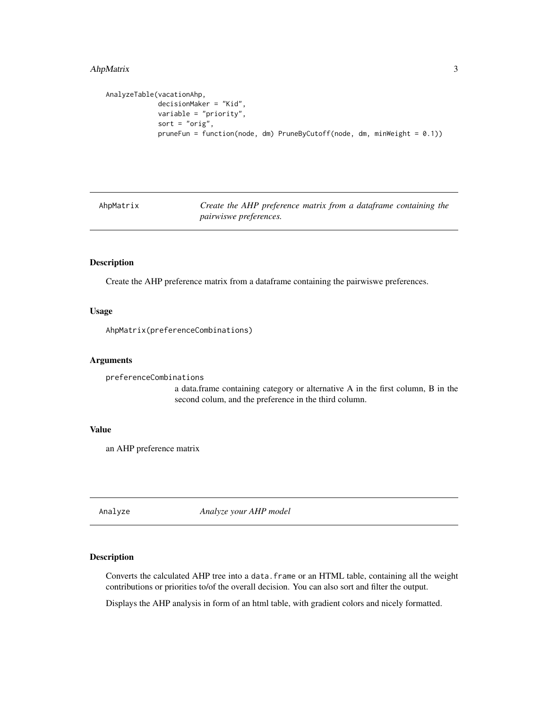# <span id="page-2-0"></span>AhpMatrix 3

```
AnalyzeTable(vacationAhp,
             decisionMaker = "Kid",
             variable = "priority",
             sort = "orig",pruneFun = function(node, dm) PruneByCutoff(node, dm, minWeight = 0.1))
```
AhpMatrix *Create the AHP preference matrix from a dataframe containing the pairwiswe preferences.*

# Description

Create the AHP preference matrix from a dataframe containing the pairwiswe preferences.

#### Usage

AhpMatrix(preferenceCombinations)

#### Arguments

```
preferenceCombinations
```
a data.frame containing category or alternative A in the first column, B in the second colum, and the preference in the third column.

#### Value

an AHP preference matrix

<span id="page-2-1"></span>Analyze *Analyze your AHP model*

# <span id="page-2-2"></span>Description

Converts the calculated AHP tree into a data.frame or an HTML table, containing all the weight contributions or priorities to/of the overall decision. You can also sort and filter the output.

Displays the AHP analysis in form of an html table, with gradient colors and nicely formatted.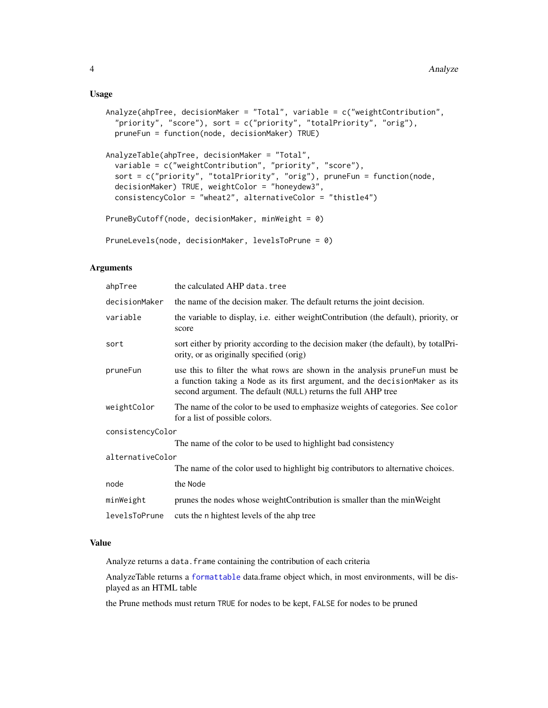#### <span id="page-3-0"></span>Usage

```
Analyze(ahpTree, decisionMaker = "Total", variable = c("weightContribution",
  "priority", "score"), sort = c("priority", "totalPriority", "orig"),
  pruneFun = function(node, decisionMaker) TRUE)
AnalyzeTable(ahpTree, decisionMaker = "Total",
  variable = c("weightContribution", "priority", "score"),
  sort = c("priority", "totalPriority", "orig"), pruneFun = function(node,
  decisionMaker) TRUE, weightColor = "honeydew3",
  consistencyColor = "wheat2", alternativeColor = "thistle4")
PruneByCutoff(node, decisionMaker, minWeight = 0)
PruneLevels(node, decisionMaker, levelsToPrune = 0)
```
# Arguments

| ahpTree          | the calculated AHP data.tree                                                                                                                                                                                                  |  |  |  |
|------------------|-------------------------------------------------------------------------------------------------------------------------------------------------------------------------------------------------------------------------------|--|--|--|
| decisionMaker    | the name of the decision maker. The default returns the joint decision.                                                                                                                                                       |  |  |  |
| variable         | the variable to display, i.e. either weightContribution (the default), priority, or<br>score                                                                                                                                  |  |  |  |
| sort             | sort either by priority according to the decision maker (the default), by totalPri-<br>ority, or as originally specified (orig)                                                                                               |  |  |  |
| pruneFun         | use this to filter the what rows are shown in the analysis prune Fun must be<br>a function taking a Node as its first argument, and the decisionMaker as its<br>second argument. The default (NULL) returns the full AHP tree |  |  |  |
| weightColor      | The name of the color to be used to emphasize weights of categories. See color<br>for a list of possible colors.                                                                                                              |  |  |  |
| consistencyColor |                                                                                                                                                                                                                               |  |  |  |
|                  | The name of the color to be used to highlight bad consistency                                                                                                                                                                 |  |  |  |
| alternativeColor |                                                                                                                                                                                                                               |  |  |  |
|                  | The name of the color used to highlight big contributors to alternative choices.                                                                                                                                              |  |  |  |
| node             | the Node                                                                                                                                                                                                                      |  |  |  |
| minWeight        | prunes the nodes whose weightContribution is smaller than the minWeight                                                                                                                                                       |  |  |  |
| levelsToPrune    | cuts the n hightest levels of the ahp tree                                                                                                                                                                                    |  |  |  |
|                  |                                                                                                                                                                                                                               |  |  |  |

# Value

Analyze returns a data. frame containing the contribution of each criteria

AnalyzeTable returns a [formattable](#page-0-0) data.frame object which, in most environments, will be displayed as an HTML table

the Prune methods must return TRUE for nodes to be kept, FALSE for nodes to be pruned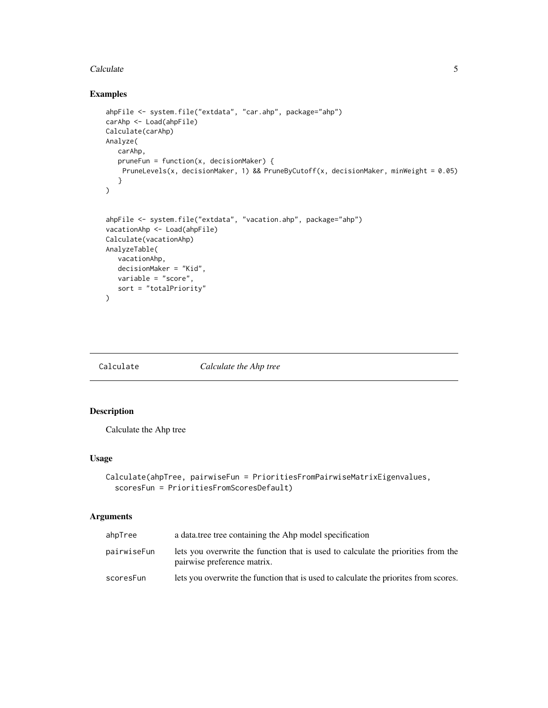#### <span id="page-4-0"></span>Calculate 5 and 5 and 5 and 5 and 5 and 5 and 5 and 5 and 5 and 5 and 5 and 5 and 5 and 5 and 5 and 5 and 5 and 5 and 5 and 5 and 5 and 5 and 5 and 5 and 5 and 5 and 5 and 5 and 5 and 5 and 5 and 5 and 5 and 5 and 5 and 5

# Examples

```
ahpFile <- system.file("extdata", "car.ahp", package="ahp")
carAhp <- Load(ahpFile)
Calculate(carAhp)
Analyze(
  carAhp,
  pruneFun = function(x, decisionMaker) {
   PruneLevels(x, decisionMaker, 1) && PruneByCutoff(x, decisionMaker, minWeight = 0.05)
  }
)
ahpFile <- system.file("extdata", "vacation.ahp", package="ahp")
vacationAhp <- Load(ahpFile)
Calculate(vacationAhp)
AnalyzeTable(
  vacationAhp,
  decisionMaker = "Kid",
  variable = "score",
   sort = "totalPriority"
\lambda
```
<span id="page-4-1"></span>

Calculate *Calculate the Ahp tree*

# Description

Calculate the Ahp tree

# Usage

```
Calculate(ahpTree, pairwiseFun = PrioritiesFromPairwiseMatrixEigenvalues,
  scoresFun = PrioritiesFromScoresDefault)
```
# Arguments

| ahpTree     | a data tree tree containing the Ahp model specification                                                          |  |
|-------------|------------------------------------------------------------------------------------------------------------------|--|
| pairwiseFun | lets you overwrite the function that is used to calculate the priorities from the<br>pairwise preference matrix. |  |
| scoresFun   | lets you overwrite the function that is used to calculate the priorities from scores.                            |  |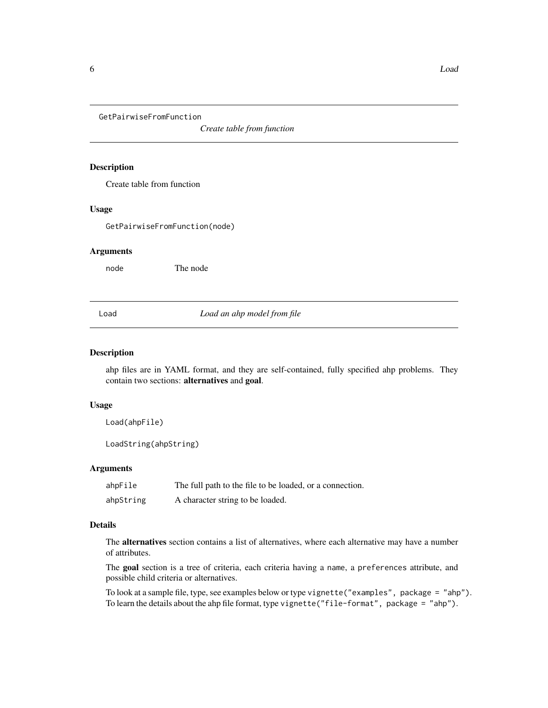<span id="page-5-0"></span>GetPairwiseFromFunction

*Create table from function*

# Description

Create table from function

#### Usage

GetPairwiseFromFunction(node)

#### Arguments

node The node

#### <span id="page-5-1"></span>Load *Load an ahp model from file*

#### Description

ahp files are in YAML format, and they are self-contained, fully specified ahp problems. They contain two sections: alternatives and goal.

#### Usage

Load(ahpFile)

LoadString(ahpString)

#### Arguments

ahpFile The full path to the file to be loaded, or a connection. ahpString A character string to be loaded.

# Details

The alternatives section contains a list of alternatives, where each alternative may have a number of attributes.

The goal section is a tree of criteria, each criteria having a name, a preferences attribute, and possible child criteria or alternatives.

To look at a sample file, type, see examples below or type vignette("examples", package = "ahp"). To learn the details about the ahp file format, type vignette("file-format", package = "ahp").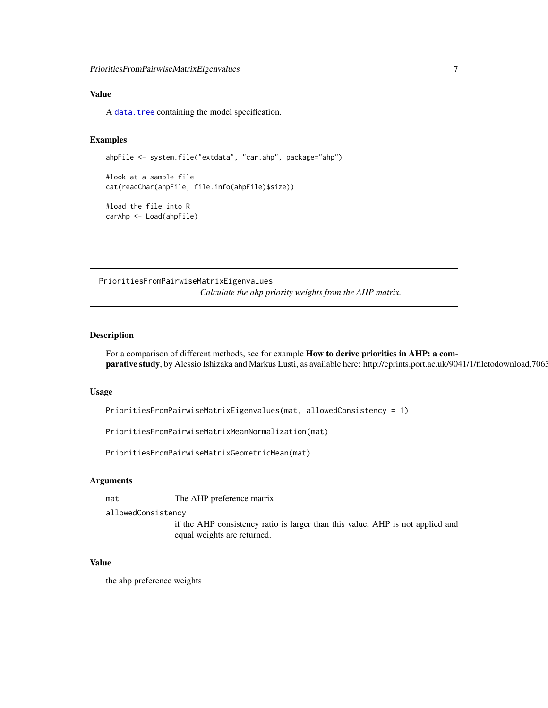# <span id="page-6-0"></span>Value

A [data.tree](#page-0-0) containing the model specification.

#### Examples

```
ahpFile <- system.file("extdata", "car.ahp", package="ahp")
```

```
#look at a sample file
cat(readChar(ahpFile, file.info(ahpFile)$size))
```
#load the file into R carAhp <- Load(ahpFile)

PrioritiesFromPairwiseMatrixEigenvalues *Calculate the ahp priority weights from the AHP matrix.*

## Description

For a comparison of different methods, see for example How to derive priorities in AHP: a comparative study, by Alessio Ishizaka and Markus Lusti, as available here: http://eprints.port.ac.uk/9041/1/filetodownload,7063

#### Usage

```
PrioritiesFromPairwiseMatrixEigenvalues(mat, allowedConsistency = 1)
```
PrioritiesFromPairwiseMatrixMeanNormalization(mat)

PrioritiesFromPairwiseMatrixGeometricMean(mat)

#### Arguments

mat The AHP preference matrix

allowedConsistency

if the AHP consistency ratio is larger than this value, AHP is not applied and equal weights are returned.

# Value

the ahp preference weights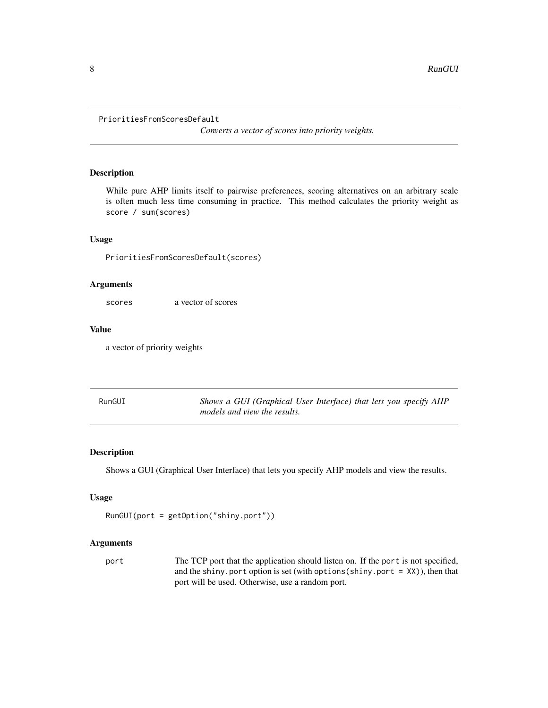```
PrioritiesFromScoresDefault
```
*Converts a vector of scores into priority weights.*

# Description

While pure AHP limits itself to pairwise preferences, scoring alternatives on an arbitrary scale is often much less time consuming in practice. This method calculates the priority weight as score / sum(scores)

#### Usage

PrioritiesFromScoresDefault(scores)

#### Arguments

scores a vector of scores

# Value

a vector of priority weights

| RunGUI | Shows a GUI (Graphical User Interface) that lets you specify AHP |
|--------|------------------------------------------------------------------|
|        | models and view the results.                                     |

# Description

Shows a GUI (Graphical User Interface) that lets you specify AHP models and view the results.

# Usage

```
RunGUI(port = getOption("shiny.port"))
```
#### Arguments

port The TCP port that the application should listen on. If the port is not specified, and the shiny.port option is set (with options(shiny.port =  $XX$ )), then that port will be used. Otherwise, use a random port.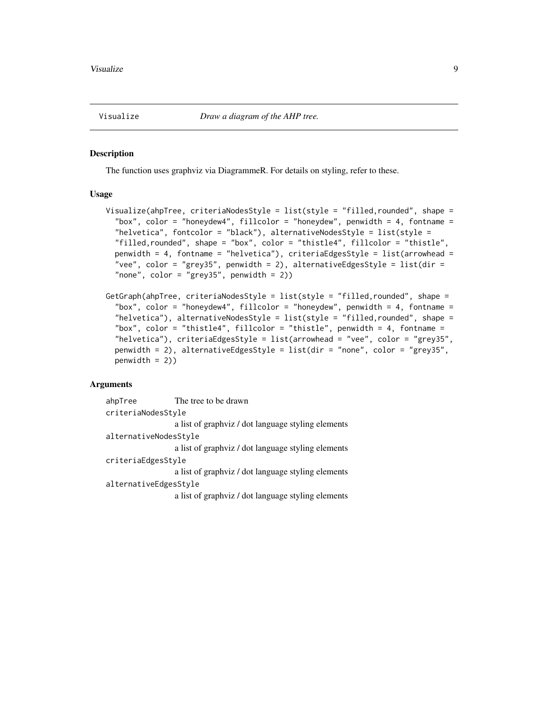<span id="page-8-1"></span><span id="page-8-0"></span>

#### Description

The function uses graphviz via DiagrammeR. For details on styling, refer to these.

#### Usage

```
Visualize(ahpTree, criteriaNodesStyle = list(style = "filled,rounded", shape =
  "box", color = "honeydew4", fillcolor = "honeydew", penwidth = 4, fontname =
  "helvetica", fontcolor = "black"), alternativeNodesStyle = list(style =
  "filled,rounded", shape = "box", color = "thistle4", fillcolor = "thistle",
  penwidth = 4, fontname = "helvetica"), criteriaEdgesStyle = list(arrowhead =
  "vee", color = "grey35", penwidth = 2), alternativeEdgesStyle = list(dir =
  "none", color = "grey35", penwidth = 2))
```

```
GetGraph(ahpTree, criteriaNodesStyle = list(style = "filled,rounded", shape =
 "box", color = "honeydew4", fillcolor = "honeydew", penwidth = 4, fontname =
 "helvetica"), alternativeNodesStyle = list(style = "filled,rounded", shape =
 "box", color = "thistle4", fillcolor = "thistle", penwidth = 4, fontname =
 "helvetica"), criteriaEdgesStyle = list(arrowhead = "vee", color = "grey35",
 penwidth = 2), alternativeEdgesStyle = list(dir = "none", color = "grey35",
 penwidth = 2))
```
# Arguments

ahpTree The tree to be drawn criteriaNodesStyle a list of graphviz / dot language styling elements alternativeNodesStyle a list of graphviz / dot language styling elements criteriaEdgesStyle a list of graphviz / dot language styling elements alternativeEdgesStyle a list of graphviz / dot language styling elements